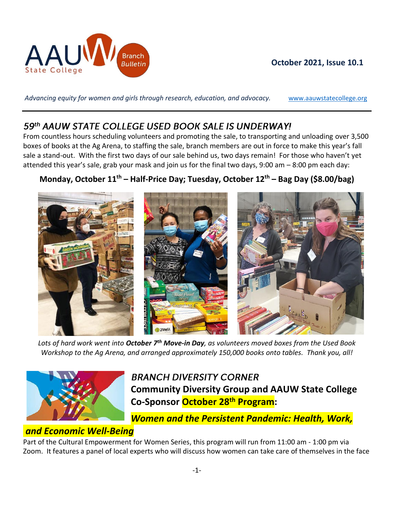

### **October 2021, Issue 10.1**

Advancing equity for women and girls through research, education, and advocacy. **WWW.aauwstatecollege.org** 

## 59th AAUW STATE COLLEGE USED BOOK SALE IS UNDERWAY!

From countless hours scheduling volunteers and promoting the sale, to transporting and unloading over 3,500 boxes of books at the Ag Arena, to staffing the sale, branch members are out in force to make this year's fall sale a stand-out. With the first two days of our sale behind us, two days remain! For those who haven't yet attended this year's sale, grab your mask and join us for the final two days, 9:00 am – 8:00 pm each day:

## **Monday, October 11th – Half-Price Day; Tuesday, October 12th – Bag Day (\$8.00/bag)**



*Lots of hard work went into October 7th Move-in Day, as volunteers moved boxes from the Used Book Workshop to the Ag Arena, and arranged approximately 150,000 books onto tables. Thank you, all!*



**BRANCH DIVERSITY CORNER Community Diversity Group and AAUW State College Co-Sponsor October 28th Program:**

*Women and the Persistent Pandemic: Health, Work,*

### *and Economic Well-Being*

Part of the Cultural Empowerment for Women Series, this program will run from 11:00 am - 1:00 pm via Zoom. It features a panel of local experts who will discuss how women can take care of themselves in the face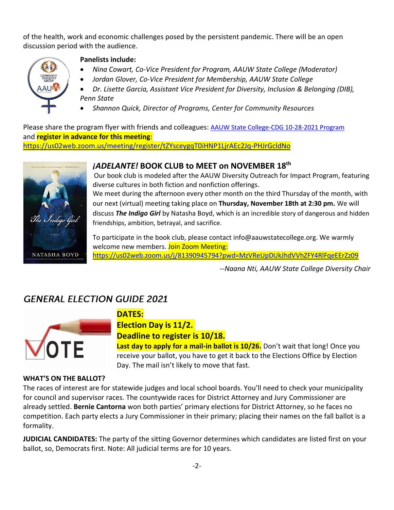of the health, work and economic challenges posed by the persistent pandemic. There will be an open discussion period with the audience.



### **Panelists include:**

- *Nina Cowart, Co-Vice President for Program, AAUW State College (Moderator)*
- *Jordan Glover, Co-Vice President for Membership, AAUW State College*
- *Dr. Lisette Garcia, Assistant Vice President for Diversity, Inclusion & Belonging (DIB), Penn State*
- *Shannon Quick, Director of Programs, Center for Community Resources*

Please share the program flyer with friends and colleagues: [AAUW State College-CDG 10-28-2021 Program](https://drive.google.com/file/d/1KW32TQbw8lU3bW3ngvZH0GSERHrfSs4T/view?usp=sharing) and **register in advance for this meeting**: <https://us02web.zoom.us/meeting/register/tZYsceygqT0iHNP1LjrAEc2Jq-PHJrGcldNo>



### *¡ADELANTE!* **BOOK CLUB to MEET on NOVEMBER 18th**

Our book club is modeled after the AAUW Diversity Outreach for Impact Program, featuring diverse cultures in both fiction and nonfiction offerings.

We meet during the afternoon every other month on the third Thursday of the month, with our next (virtual) meeting taking place on **Thursday, November 18th at 2:30 pm.** We will discuss *The Indigo Girl* by Natasha Boyd, which is an incredible story of dangerous and hidden friendships, ambition, betrayal, and sacrifice.

To participate in the book club, please contact info@aauwstatecollege.org. We warmly welcome new members. Join Zoom Meeting: <https://us02web.zoom.us/j/81390945794?pwd=MzVReUpDUkJhdVVhZFY4RlFqeEErZz09>

*--Naana Nti, AAUW State College Diversity Chair*

## **GENERAL ELECTION GUIDE 2021**



### **DATES:**

**Election Day is 11/2.**

**Deadline to register is 10/18.**

**Last day to apply for a mail-in ballot is 10/26.** Don't wait that long! Once you receive your ballot, you have to get it back to the Elections Office by Election Day. The mail isn't likely to move that fast.

#### **WHAT'S ON THE BALLOT?**

The races of interest are for statewide judges and local school boards. You'll need to check your municipality for council and supervisor races. The countywide races for District Attorney and Jury Commissioner are already settled. **Bernie Cantorna** won both parties' primary elections for District Attorney, so he faces no competition. Each party elects a Jury Commissioner in their primary; placing their names on the fall ballot is a formality.

**JUDICIAL CANDIDATES:** The party of the sitting Governor determines which candidates are listed first on your ballot, so, Democrats first. Note: All judicial terms are for 10 years.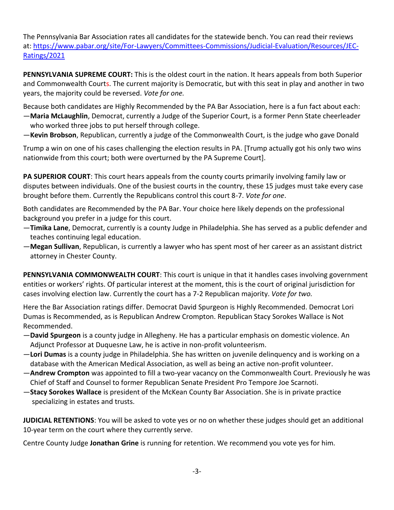The Pennsylvania Bar Association rates all candidates for the statewide bench. You can read their reviews at: [https://www.pabar.org/site/For-Lawyers/Committees-Commissions/Judicial-Evaluation/Resources/JEC-](https://www.pabar.org/site/For-Lawyers/Committees-Commissions/Judicial-Evaluation/Resources/JEC-Ratings/2021)[Ratings/2021](https://www.pabar.org/site/For-Lawyers/Committees-Commissions/Judicial-Evaluation/Resources/JEC-Ratings/2021)

**PENNSYLVANIA SUPREME COURT:** This is the oldest court in the nation. It hears appeals from both Superior and Commonwealth Courts. The current majority is Democratic, but with this seat in play and another in two years, the majority could be reversed. *Vote for one.*

Because both candidates are Highly Recommended by the PA Bar Association, here is a fun fact about each:

- —**Maria McLaughlin**, Democrat, currently a Judge of the Superior Court, is a former Penn State cheerleader who worked three jobs to put herself through college.
- —**Kevin Brobson**, Republican, currently a judge of the Commonwealth Court, is the judge who gave Donald

Trump a win on one of his cases challenging the election results in PA. [Trump actually got his only two wins nationwide from this court; both were overturned by the PA Supreme Court].

**PA SUPERIOR COURT**: This court hears appeals from the county courts primarily involving family law or disputes between individuals. One of the busiest courts in the country, these 15 judges must take every case brought before them. Currently the Republicans control this court 8-7. *Vote for one*.

Both candidates are Recommended by the PA Bar. Your choice here likely depends on the professional background you prefer in a judge for this court.

- —**Timika Lane**, Democrat, currently is a county Judge in Philadelphia. She has served as a public defender and teaches continuing legal education.
- —**Megan Sullivan**, Republican, is currently a lawyer who has spent most of her career as an assistant district attorney in Chester County.

**PENNSYLVANIA COMMONWEALTH COURT**: This court is unique in that it handles cases involving government entities or workers' rights. Of particular interest at the moment, this is the court of original jurisdiction for cases involving election law. Currently the court has a 7-2 Republican majority. *Vote for two.*

Here the Bar Association ratings differ. Democrat David Spurgeon is Highly Recommended. Democrat Lori Dumas is Recommended, as is Republican Andrew Crompton. Republican Stacy Sorokes Wallace is Not Recommended.

- —**David Spurgeon** is a county judge in Allegheny. He has a particular emphasis on domestic violence. An Adjunct Professor at Duquesne Law, he is active in non-profit volunteerism.
- —**Lori Dumas** is a county judge in Philadelphia. She has written on juvenile delinquency and is working on a database with the American Medical Association, as well as being an active non-profit volunteer.
- —**Andrew Crompton** was appointed to fill a two-year vacancy on the Commonwealth Court. Previously he was Chief of Staff and Counsel to former Republican Senate President Pro Tempore Joe Scarnoti.
- —**Stacy Sorokes Wallace** is president of the McKean County Bar Association. She is in private practice specializing in estates and trusts.

**JUDICIAL RETENTIONS**: You will be asked to vote yes or no on whether these judges should get an additional 10-year term on the court where they currently serve.

Centre County Judge **Jonathan Grine** is running for retention. We recommend you vote yes for him.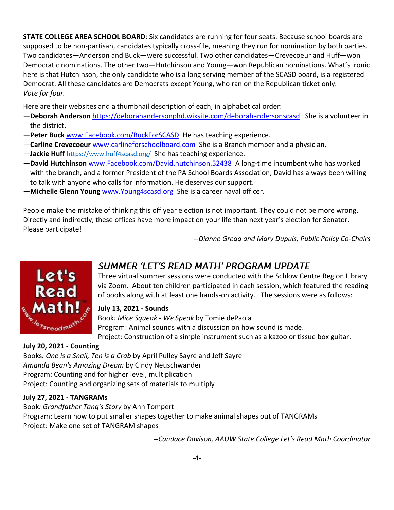**STATE COLLEGE AREA SCHOOL BOARD**: Six candidates are running for four seats. Because school boards are supposed to be non-partisan, candidates typically cross-file, meaning they run for nomination by both parties. Two candidates—Anderson and Buck—were successful. Two other candidates—Crevecoeur and Huff—won Democratic nominations. The other two—Hutchinson and Young—won Republican nominations. What's ironic here is that Hutchinson, the only candidate who is a long serving member of the SCASD board, is a registered Democrat. All these candidates are Democrats except Young, who ran on the Republican ticket only. *Vote for four.*

Here are their websites and a thumbnail description of each, in alphabetical order:

- —**Deborah Anderson** <https://deborahandersonphd.wixsite.com/deborahandersonscasd> She is a volunteer in the district.
- —**Peter Buck** [www.Facebook.com/BuckForSCASD](http://www.facebook.com/BuckForSCASD) He has teaching experience.
- —**Carline Crevecoeur** [www.carlineforschoolboard.com](http://www.carlineforschoolboard.com/) She is a Branch member and a physician.
- —**Jackie Huff** <https://www.huff4scasd.org/> She has teaching experience.
- —**David Hutchinson** [www.Facebook.com/David.hutchinson.52438](http://www.facebook.com/David.hutchinson.52438) A long-time incumbent who has worked with the branch, and a former President of the PA School Boards Association, David has always been willing to talk with anyone who calls for information. He deserves our support.
- —**Michelle Glenn Young** [www.Young4scasd.org](http://www.young4scasd.org/) She is a career naval officer.

People make the mistake of thinking this off year election is not important. They could not be more wrong. Directly and indirectly, these offices have more impact on your life than next year's election for Senator. Please participate!

*--Dianne Gregg and Mary Dupuis, Public Policy Co-Chairs*



## **SUMMER 'LET'S READ MATH' PROGRAM UPDATE**

Three virtual summer sessions were conducted with the Schlow Centre Region Library via Zoom. About ten children participated in each session, which featured the reading of books along with at least one hands-on activity. The sessions were as follows:

### **July 13, 2021 - Sounds**

Book*: Mice Squeak - We Speak* by Tomie dePaola Program: Animal sounds with a discussion on how sound is made. Project: Construction of a simple instrument such as a kazoo or tissue box guitar.

### **July 20, 2021 - Counting**

Books*: One is a Snail, Ten is a Crab* by April Pulley Sayre and Jeff Sayre *Amanda Bean's Amazing Dream* by Cindy Neuschwander Program: Counting and for higher level, multiplication Project: Counting and organizing sets of materials to multiply

### **July 27, 2021 - TANGRAMs**

Book*: Grandfather Tang's Story* by Ann Tompert Program: Learn how to put smaller shapes together to make animal shapes out of TANGRAMs Project: Make one set of TANGRAM shapes

*--Candace Davison, AAUW State College Let's Read Math Coordinator*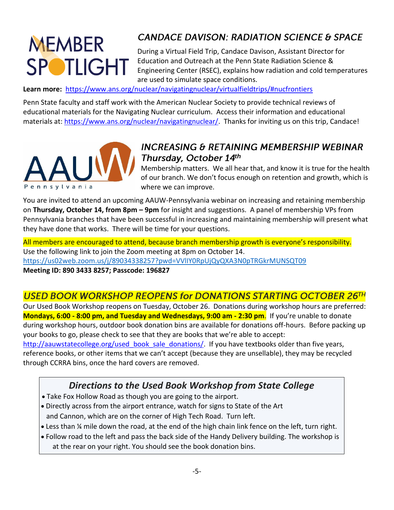# **MEMBER SPOTLIGHT**

# **CANDACE DAVISON: RADIATION SCIENCE & SPACE**

During a Virtual Field Trip, Candace Davison, Assistant Director for Education and Outreach at the Penn State Radiation Science & Engineering Center (RSEC), explains how radiation and cold temperatures are used to simulate space conditions.

**Learn more:**<https://www.ans.org/nuclear/navigatingnuclear/virtualfieldtrips/#nucfrontiers>

Penn State faculty and staff work with the American Nuclear Society to provide technical reviews of educational materials for the Navigating Nuclear curriculum. Access their information and educational materials at: [https://www.ans.org/nuclear/navigatingnuclear/.](https://www.ans.org/nuclear/navigatingnuclear/) Thanks for inviting us on this trip, Candace!



## **INCREASING & RETAINING MEMBERSHIP WEBINAR** Thursday, October 14th

Membership matters. We all hear that, and know it is true for the health of our branch. We don't focus enough on retention and growth, which is where we can improve.

You are invited to attend an upcoming AAUW-Pennsylvania webinar on increasing and retaining membership on **Thursday, October 14, from 8pm – 9pm** for insight and suggestions. A panel of membership VPs from Pennsylvania branches that have been successful in increasing and maintaining membership will present what they have done that works. There will be time for your questions.

All members are encouraged to attend, because branch membership growth is everyone's responsibility. Use the following link to join the Zoom meeting at 8pm on October 14. <https://us02web.zoom.us/j/89034338257?pwd=VVlIY0RpUjQyQXA3N0pTRGkrMUNSQT09>

### **Meeting ID: 890 3433 8257; Passcode: 196827**

## **USED BOOK WORKSHOP REOPENS for DONATIONS STARTING OCTOBER 26TH**

Our Used Book Workshop reopens on Tuesday, October 26. Donations during workshop hours are preferred: **Mondays, 6:00 - 8:00 pm, and Tuesday and Wednesdays, 9:00 am - 2:30 pm**. If you're unable to donate during workshop hours, outdoor book donation bins are available for donations off-hours. Before packing up your books to go, please check to see that they are books that we're able to accept:

[http://aauwstatecollege.org/used\\_book\\_sale\\_donations/.](http://aauwstatecollege.org/used_book_sale_donations/) If you have textbooks older than five years, reference books, or other items that we can't accept (because they are unsellable), they may be recycled through CCRRA bins, once the hard covers are removed.

# *Directions to the Used Book Workshop from State College*

- Take Fox Hollow Road as though you are going to the airport.
- Directly across from the airport entrance, watch for signs to State of the Art and Cannon, which are on the corner of High Tech Road. Turn left.
- Less than ¼ mile down the road, at the end of the high chain link fence on the left, turn right.
- Follow road to the left and pass the back side of the Handy Delivery building. The workshop is at the rear on your right. You should see the book donation bins.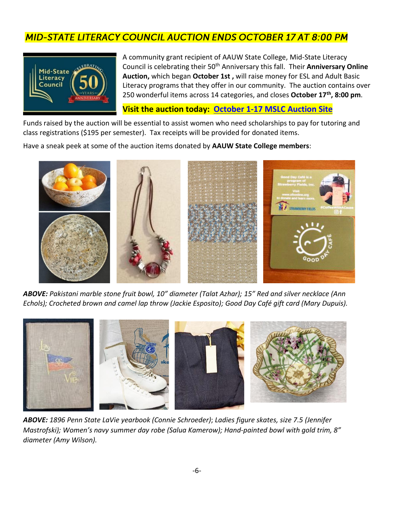# **MID-STATE LITERACY COUNCIL AUCTION ENDS OCTOBER 17 AT 8:00 PM**



A community grant recipient of AAUW State College, Mid-State Literacy Council is celebrating their 50th Anniversary this fall. Their **Anniversary Online Auction,** which began **October 1st ,** will raise money for ESL and Adult Basic Literacy programs that they offer in our community. The auction contains over 250 wonderful items across 14 categories, and closes **October 17th, 8:00 pm**.

### **Visit the auction today: [October 1-17 MSLC Auction Site](https://go.rallyup.com/literacyforlife/Campaign/Details)**

Funds raised by the auction will be essential to assist women who need scholarships to pay for tutoring and class registrations (\$195 per semester). Tax receipts will be provided for donated items.

Have a sneak peek at some of the auction items donated by **AAUW State College members**:



*ABOVE: Pakistani marble stone fruit bowl, 10" diameter (Talat Azhar); 15" Red and silver necklace (Ann Echols); Crocheted brown and camel lap throw (Jackie Esposito); Good Day Café gift card (Mary Dupuis).*



*ABOVE: 1896 Penn State LaVie yearbook (Connie Schroeder)*; *Ladies figure skates, size 7.5 (Jennifer Mastrofski); Women's navy summer day robe (Salua Kamerow); Hand*-*painted bowl with gold trim, 8" diameter (Amy Wilson).*